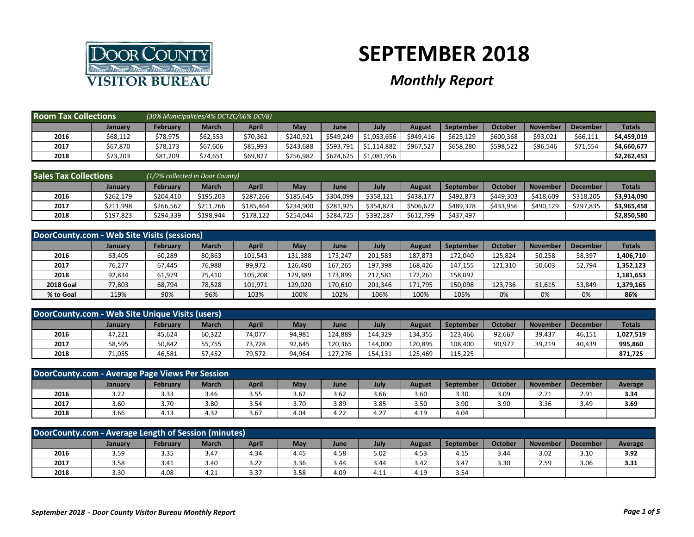

## **SEPTEMBER 2018**

## *Monthly Report*

| <b>Room Tax Collections</b> |                | (30% Municipalities/4% DCTZC/66% DCVB) |              |          |           |           |             |           |                  |           |                 |                 |               |
|-----------------------------|----------------|----------------------------------------|--------------|----------|-----------|-----------|-------------|-----------|------------------|-----------|-----------------|-----------------|---------------|
|                             | <b>January</b> | February                               | <b>March</b> | April    | May       | June      | July        | August    | <b>September</b> | Octobe    | <b>November</b> | <b>December</b> | <b>Totals</b> |
| 2016                        | \$68,112       | \$78,975                               | \$62,553     | \$70,362 | \$240.921 | \$549,249 | \$1,053,656 | \$949,416 | \$625,129        | \$600,368 | \$93,021        | \$66,111        | \$4,459,019   |
| 2017                        | \$67,870       | \$78,173                               | \$67,606     | \$85,993 | \$243.688 | \$593,791 | \$1,114,882 | \$967,527 | \$658,280        | \$598,522 | \$96,546        | \$71,554        | \$4,660,677   |
| 2018                        | \$73,203       | \$81,209                               | \$74,651     | \$69,827 | \$256,982 | \$624,625 | \$1,081,956 |           |                  |           |                 |                 | \$2,262,453   |

| <b>Sales Tax Collections</b> |                | (1/2% collected in Door County) |           |           |           |           |           |           |                  |           |                 |                 |               |
|------------------------------|----------------|---------------------------------|-----------|-----------|-----------|-----------|-----------|-----------|------------------|-----------|-----------------|-----------------|---------------|
|                              | <b>January</b> | Februarv                        | March     | April     | May       | June      | July      | August    | <b>September</b> | October   | <b>November</b> | <b>December</b> | <b>Totals</b> |
| 2016                         | \$262,179      | \$204,410                       | \$195,203 | \$287,266 | \$185,645 | \$304,099 | \$358,121 | \$438.177 | \$492,873        | \$449,303 | \$418,609       | \$318,205       | \$3,914,090   |
| 2017                         | \$211,998      | \$266.562                       | \$211.766 | \$185.464 | \$234,900 | \$281,925 | \$354,873 | \$506.672 | \$489,378        | \$433.956 | \$490,129       | \$297.835       | \$3,965,458   |
| 2018                         | \$197,823      | \$294.339                       | \$198,944 | \$178.122 | \$254,044 | \$284,725 | \$392.287 | \$612,799 | \$437.497        |           |                 |                 | \$2,850,580   |

| DoorCounty.com - Web Site Visits (sessions) |                |          |              |         |         |         |         |         |                  |         |                 |                 |               |
|---------------------------------------------|----------------|----------|--------------|---------|---------|---------|---------|---------|------------------|---------|-----------------|-----------------|---------------|
|                                             | <b>January</b> | February | <b>March</b> | April   | May     | June    | July    | August  | <b>September</b> | October | <b>November</b> | <b>December</b> | <b>Totals</b> |
| 2016                                        | 63,405         | 60,289   | 80,863       | 101,543 | 131,388 | 173.247 | 201.583 | 187.873 | 172.040          | 125.824 | 50,258          | 58,397          | 1,406,710     |
| 2017                                        | 76,277         | 67,445   | 76,988       | 99,972  | 126,490 | 167.265 | 197.398 | 168,426 | 147.155          | 121.310 | 50,603          | 52.794          | 1,352,123     |
| 2018                                        | 92,834         | 61,979   | 75,410       | 105,208 | 129,389 | 173,899 | 212.581 | 172,261 | 158,092          |         |                 |                 | 1,181,653     |
| <b>2018 Goal</b>                            | 77,803         | 68,794   | 78,528       | 101,971 | 129,020 | 170,610 | 201,346 | 171,795 | 150,098          | 123,736 | 51,615          | 53,849          | 1,379,165     |
| % to Goal                                   | 119%           | 90%      | 96%          | 103%    | 100%    | 102%    | 106%    | 100%    | 105%             | 0%      | 0%              | 0%              | 86%           |

| DoorCounty.com - Web Site Unique Visits (users) |         |                 |              |              |        |         |         |         |                  |         |                 |                 |               |
|-------------------------------------------------|---------|-----------------|--------------|--------------|--------|---------|---------|---------|------------------|---------|-----------------|-----------------|---------------|
|                                                 | January | <b>February</b> | <b>March</b> | <b>April</b> | May    | June    | July    | August  | <b>September</b> | October | <b>November</b> | <b>December</b> | <b>Totals</b> |
| 2016                                            | 47,221  | 45,624          | 60,322       | 74,077       | 94,981 | 124.889 | 144.329 | 134.355 | 123.466          | 92,667  | 39,437          | 46,151          | 1,027,519     |
| 2017                                            | 58,595  | 50,842          | 55,755       | 73,728       | 92,645 | 120,365 | 144,000 | 120,895 | 108,400          | 90,977  | 39,219          | 40,439          | 995,860       |
| 2018                                            | 71,055  | 46,581          | 57,452       | 79,572       | 94,964 | 127.276 | 154,131 | 125,469 | 115,225          |         |                 |                 | 871,725       |

|                                                                                                                                                                         | DoorCounty.com - Average Page Views Per Session |      |      |      |      |      |      |      |      |      |      |      |         |
|-------------------------------------------------------------------------------------------------------------------------------------------------------------------------|-------------------------------------------------|------|------|------|------|------|------|------|------|------|------|------|---------|
| <b>March</b><br><b>April</b><br>July<br><b>February</b><br>May<br>October<br><b>November</b><br><b>December</b><br><b>September</b><br><b>August</b><br>January<br>June |                                                 |      |      |      |      |      |      |      |      |      |      |      | Average |
| 2016                                                                                                                                                                    | 3.22                                            | 3.33 | 3.46 | 3.55 | 3.62 | 3.62 | 3.66 | 3.60 | 3.30 | 3.09 | 2.71 | 2.91 | 3.34    |
| 2017                                                                                                                                                                    | 3.60                                            | 3.70 | 3.80 | 3.54 | 3.70 | 3.89 | 3.85 | 3.50 | 3.90 | 3.90 | 3.36 | 3.49 | 3.69    |
| 2018                                                                                                                                                                    | 3.66                                            | 4.13 | 4.32 | 3.67 | 4.04 | 4.22 | 4.27 | 4.19 | 4.04 |      |      |      |         |

| DoorCounty.com - Average Length of Session (minutes)                                                                                                          |      |      |      |      |      |      |                        |      |      |      |      |      |      |
|---------------------------------------------------------------------------------------------------------------------------------------------------------------|------|------|------|------|------|------|------------------------|------|------|------|------|------|------|
| July<br>October<br><b>February</b><br>March<br>May<br>April<br>September<br><b>November</b><br><b>December</b><br>Average<br>August<br><b>January</b><br>June |      |      |      |      |      |      |                        |      |      |      |      |      |      |
| 2016                                                                                                                                                          | 3.59 | 3.35 | 3.47 | 4.34 | 4.45 | 4.58 | 5.02                   | 4.53 | 4.15 | 3.44 | 3.02 | 3.10 | 3.92 |
| 2017                                                                                                                                                          | 3.58 | 3.41 | 3.40 | 3.22 | 3.36 | 3.44 | 3.44                   | 3.42 | 3.47 | 3.30 | 2.59 | 3.06 | 3.31 |
| 2018                                                                                                                                                          | 3.30 | 4.08 | 4.21 | 3.37 | 3.58 | 4.09 | $\overline{A}$<br>4.11 | 4.19 | 3.54 |      |      |      |      |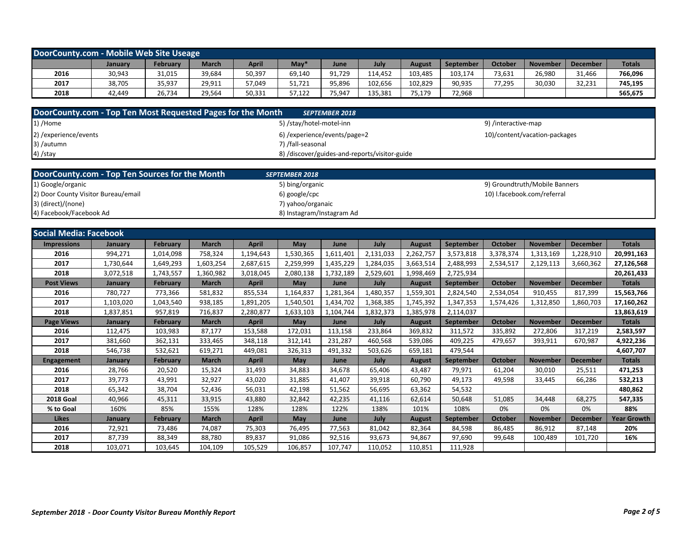| DoorCounty.com - Mobile Web Site Useage |         |          |              |              |        |             |         |         |           |         |                 |                 |               |
|-----------------------------------------|---------|----------|--------------|--------------|--------|-------------|---------|---------|-----------|---------|-----------------|-----------------|---------------|
|                                         | January | February | <b>March</b> | <b>April</b> | May    | <b>June</b> | July    | August  | September | October | <b>November</b> | <b>December</b> | <b>Totals</b> |
| 2016                                    | 30,943  | 31,015   | 39,684       | 50,397       | 69,140 | 91,729      | 114.452 | 103,485 | 103,174   | 73,631  | 26,980          | 31,466          | 766,096       |
| 2017                                    | 38,705  | 35,937   | 29,911       | 57,049       | 51,721 | 95,896      | 102,656 | 102,829 | 90,935    | 77,295  | 30,030          | 32,231          | 745,195       |
| 2018                                    | 42.449  | 26,734   | 29,564       | 50,331       | 57,122 | 75,947      | 135.381 | 75,179  | 72,968    |         |                 |                 | 565,675       |

| DoorCounty.com - Top Ten Most Requested Pages for the Month | <b>SEPTEMBER 2018</b>                         |                               |
|-------------------------------------------------------------|-----------------------------------------------|-------------------------------|
| $1)$ /Home                                                  | 5) /stay/hotel-motel-inn                      | 9) /interactive-map           |
| 2) / experience/events                                      | 6) /experience/events/page=2                  | 10)/content/vacation-packages |
| 3) /autumn                                                  | 7) /fall-seasonal                             |                               |
| 4) /stay                                                    | 8) /discover/guides-and-reports/visitor-guide |                               |

| DoorCounty.com - Top Ten Sources for the Month | <b>SEPTEMBER 2018</b>     |                               |
|------------------------------------------------|---------------------------|-------------------------------|
| 1) Google/organic                              | 5) bing/organic           | 9) Groundtruth/Mobile Banners |
| 2) Door County Visitor Bureau/email            | 6) google/cpc             | 10) I.facebook.com/referral   |
| 3) (direct)/(none)                             | 7) yahoo/organaic         |                               |
| 4) Facebook/Facebook Ad                        | 8) Instagram/Instagram Ad |                               |

| <b>Social Media: Facebook</b> |                |                 |              |              |            |           |           |               |                  |                |                 |                 |                    |
|-------------------------------|----------------|-----------------|--------------|--------------|------------|-----------|-----------|---------------|------------------|----------------|-----------------|-----------------|--------------------|
| <b>Impressions</b>            | <b>January</b> | <b>February</b> | <b>March</b> | <b>April</b> | <b>May</b> | June      | July      | <b>August</b> | <b>September</b> | October        | <b>November</b> | <b>December</b> | <b>Totals</b>      |
| 2016                          | 994,271        | 1,014,098       | 758,324      | 1,194,643    | 1,530,365  | 1,611,401 | 2,131,033 | 2,262,757     | 3,573,818        | 3,378,374      | 1,313,169       | 1,228,910       | 20,991,163         |
| 2017                          | 1,730,644      | 1,649,293       | 1,603,254    | 2,687,615    | 2,259,999  | 1,435,229 | 1,284,035 | 3,663,514     | 2,488,993        | 2,534,517      | 2,129,113       | 3,660,362       | 27,126,568         |
| 2018                          | 3,072,518      | 1,743,557       | 1,360,982    | 3,018,045    | 2,080,138  | 1,732,189 | 2,529,601 | 1,998,469     | 2,725,934        |                |                 |                 | 20,261,433         |
| <b>Post Views</b>             | <b>January</b> | <b>February</b> | <b>March</b> | <b>April</b> | May        | June      | July      | <b>August</b> | September        | <b>October</b> | <b>November</b> | <b>December</b> | <b>Totals</b>      |
| 2016                          | 780,727        | 773,366         | 581,832      | 855,534      | 1,164,837  | 1,281,364 | 1,480,357 | 1,559,301     | 2,824,540        | 2,534,054      | 910,455         | 817,399         | 15,563,766         |
| 2017                          | 1,103,020      | 1,043,540       | 938,185      | 1,891,205    | 1,540,501  | 1,434,702 | 1,368,385 | 1,745,392     | 1,347,353        | 1,574,426      | 1,312,850       | 1,860,703       | 17,160,262         |
| 2018                          | 1,837,851      | 957,819         | 716,837      | 2,280,877    | 1,633,103  | 1,104,744 | 1,832,373 | 1,385,978     | 2,114,037        |                |                 |                 | 13,863,619         |
| <b>Page Views</b>             | January        | February        | <b>March</b> | <b>April</b> | May        | June      | July      | <b>August</b> | September        | October        | <b>November</b> | <b>December</b> | <b>Totals</b>      |
| 2016                          | 112,475        | 103,983         | 87,177       | 153,588      | 172,031    | 113,158   | 233,864   | 369,832       | 311,572          | 335,892        | 272,806         | 317,219         | 2,583,597          |
| 2017                          | 381,660        | 362,131         | 333,465      | 348,118      | 312,141    | 231,287   | 460,568   | 539,086       | 409.225          | 479.657        | 393,911         | 670.987         | 4,922,236          |
| 2018                          | 546,738        | 532,621         | 619,271      | 449,081      | 326,313    | 491,332   | 503,626   | 659,181       | 479,544          |                |                 |                 | 4,607,707          |
| <b>Engagement</b>             | January        | <b>February</b> | <b>March</b> | <b>April</b> | May        | June      | July      | <b>August</b> | September        | October        | <b>November</b> | <b>December</b> | <b>Totals</b>      |
| 2016                          | 28,766         | 20,520          | 15,324       | 31,493       | 34,883     | 34,678    | 65,406    | 43,487        | 79,971           | 61,204         | 30,010          | 25,511          | 471,253            |
| 2017                          | 39,773         | 43,991          | 32,927       | 43,020       | 31,885     | 41,407    | 39,918    | 60,790        | 49,173           | 49,598         | 33,445          | 66,286          | 532,213            |
| 2018                          | 65,342         | 38,704          | 52,436       | 56,031       | 42,198     | 51,562    | 56,695    | 63,362        | 54,532           |                |                 |                 | 480,862            |
| <b>2018 Goal</b>              | 40,966         | 45,311          | 33,915       | 43,880       | 32,842     | 42,235    | 41,116    | 62,614        | 50,648           | 51,085         | 34,448          | 68,275          | 547,335            |
| % to Goal                     | 160%           | 85%             | 155%         | 128%         | 128%       | 122%      | 138%      | 101%          | 108%             | 0%             | 0%              | 0%              | 88%                |
| <b>Likes</b>                  | January        | <b>February</b> | <b>March</b> | <b>April</b> | <b>May</b> | June      | July      | <b>August</b> | September        | October        | <b>November</b> | <b>December</b> | <b>Year Growth</b> |
| 2016                          | 72,921         | 73,486          | 74,087       | 75,303       | 76,495     | 77,563    | 81,042    | 82,364        | 84,598           | 86,485         | 86,912          | 87,148          | 20%                |
| 2017                          | 87,739         | 88,349          | 88,780       | 89,837       | 91.086     | 92,516    | 93,673    | 94,867        | 97,690           | 99,648         | 100,489         | 101.720         | 16%                |
| 2018                          | 103,071        | 103,645         | 104,109      | 105,529      | 106,857    | 107,747   | 110,052   | 110,851       | 111,928          |                |                 |                 |                    |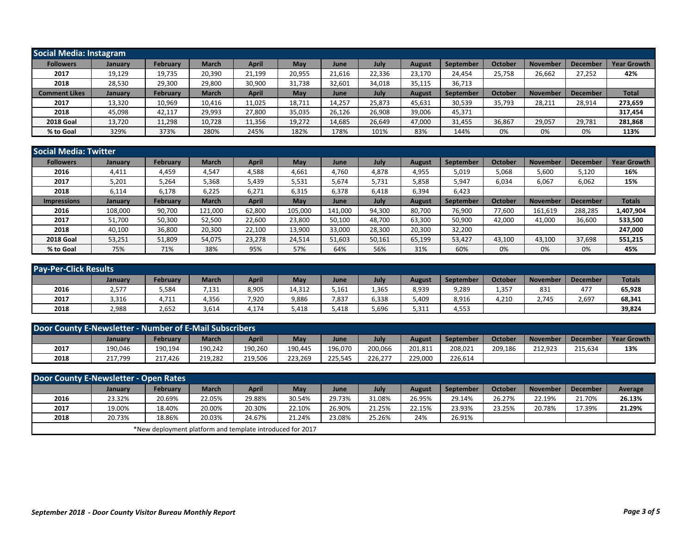| Social Media: Instagram |                |          |              |              |        |        |        |               |                  |         |                 |                 |                    |
|-------------------------|----------------|----------|--------------|--------------|--------|--------|--------|---------------|------------------|---------|-----------------|-----------------|--------------------|
| <b>Followers</b>        | <b>January</b> | February | <b>March</b> | <b>April</b> | May    | June   | July   | August        | September        | October | <b>November</b> | <b>December</b> | <b>Year Growth</b> |
| 2017                    | 19,129         | 19,735   | 20,390       | 21,199       | 20,955 | 21,616 | 22,336 | 23,170        | 24,454           | 25,758  | 26,662          | 27,252          | 42%                |
| 2018                    | 28,530         | 29,300   | 29,800       | 30,900       | 31,738 | 32,601 | 34,018 | 35,115        | 36,713           |         |                 |                 |                    |
| <b>Comment Likes</b>    | January        | February | <b>March</b> | <b>April</b> | May    | June   | July   | <b>August</b> | <b>September</b> | October | <b>November</b> | <b>December</b> | <b>Total</b>       |
| 2017                    | 13,320         | 10,969   | 10,416       | 11,025       | 18,711 | 14,257 | 25,873 | 45,631        | 30,539           | 35,793  | 28,211          | 28,914          | 273,659            |
| 2018                    | 45,098         | 42,117   | 29,993       | 27,800       | 35,035 | 26,126 | 26,908 | 39,006        | 45,371           |         |                 |                 | 317,454            |
| <b>2018 Goal</b>        | 13,720         | 11,298   | 10,728       | 11,356       | 19,272 | 14,685 | 26,649 | 47,000        | 31,455           | 36,867  | 29,057          | 29,781          | 281,868            |
| % to Goal               | 329%           | 373%     | 280%         | 245%         | 182%   | 178%   | 101%   | 83%           | 144%             | 0%      | 0%              | 0%              | 113%               |

| Social Media: Twitter |                |                 |         |              |         |         |        |               |                  |         |                 |                 |                    |
|-----------------------|----------------|-----------------|---------|--------------|---------|---------|--------|---------------|------------------|---------|-----------------|-----------------|--------------------|
| <b>Followers</b>      | <b>January</b> | <b>February</b> | March   | <b>April</b> | May     | June    | July   | August        | September        | October | <b>November</b> | <b>Decembe</b>  | <b>Year Growth</b> |
| 2016                  | 4,411          | 4.459           | 4,547   | 4,588        | 4,661   | 4,760   | 4,878  | 4,955         | 5,019            | 5,068   | 5,600           | 5,120           | 16%                |
| 2017                  | 5,201          | 5,264           | 5,368   | 5,439        | 5,531   | 5,674   | 5,731  | 5,858         | 5,947            | 6,034   | 6,067           | 6,062           | 15%                |
| 2018                  | 6,114          | 6,178           | 6,225   | 6,271        | 6,315   | 6,378   | 6,418  | 6,394         | 6,423            |         |                 |                 |                    |
| <b>Impressions</b>    | January        | <b>February</b> | March   | <b>April</b> | May     | June    | July   | <b>August</b> | <b>September</b> | October | <b>November</b> | <b>December</b> | <b>Totals</b>      |
| 2016                  | 108,000        | 90,700          | 121,000 | 62,800       | 105,000 | 141,000 | 94,300 | 80,700        | 76,900           | 77,600  | 161,619         | 288,285         | 1,407,904          |
| 2017                  | 51,700         | 50,300          | 52,500  | 22,600       | 23,800  | 50,100  | 48,700 | 63,300        | 50,900           | 42,000  | 41,000          | 36,600          | 533,500            |
| 2018                  | 40,100         | 36,800          | 20,300  | 22,100       | 13,900  | 33,000  | 28,300 | 20,300        | 32,200           |         |                 |                 | 247,000            |
| <b>2018 Goal</b>      | 53,251         | 51,809          | 54,075  | 23,278       | 24,514  | 51,603  | 50,161 | 65,199        | 53,427           | 43,100  | 43,100          | 37,698          | 551,215            |
| % to Goal             | 75%            | 71%             | 38%     | 95%          | 57%     | 64%     | 56%    | 31%           | 60%              | 0%      | 0%              | 0%              | 45%                |

| <b>Pay-Per-Click Results</b> |         |          |              |              |        |       |       |        |           |         |                 |                 |               |
|------------------------------|---------|----------|--------------|--------------|--------|-------|-------|--------|-----------|---------|-----------------|-----------------|---------------|
|                              | January | February | <b>March</b> | <b>April</b> | May    | June  | July  | August | September | October | <b>November</b> | <b>December</b> | <b>Totals</b> |
| 2016                         | 2,577   | 5,584    | 7,131        | 8,905        | 14,312 | 5,161 | 1,365 | 8,939  | 9,289     | 1,357   | 831             | 477             | 65,928        |
| 2017                         | 3,316   | 4,711    | 4,356        | 7,920        | 9,886  | 7,837 | 6,338 | 5,409  | 8,916     | 4,210   | 2.745           | 2,697           | 68,341        |
| 2018                         | 2,988   | 2,652    | 3,614        | 4,174        | 5,418  | 5,418 | 5,696 | 5,311  | 4,553     |         |                 |                 | 39,824        |

| Door County E-Newsletter - Number of E-Mail Subscribers |         |                 |              |         |         |         |         |         |           |         |                 |                 |                    |
|---------------------------------------------------------|---------|-----------------|--------------|---------|---------|---------|---------|---------|-----------|---------|-----------------|-----------------|--------------------|
|                                                         | Januarv | <b>February</b> | <b>March</b> | April   | May     | June    | July    | August  | September | October | <b>November</b> | <b>December</b> | <b>Year Growth</b> |
| 2017                                                    | 190,046 | 190,194         | 190,242      | 190,260 | 190.445 | 196,070 | 200,066 | 201,811 | 208,021   | 209,186 | 212,923         | 215.634         | 13%                |
| 2018                                                    | 217,799 | 217.426         | 219,282      | 219,506 | 223,269 | 225,545 | 226,277 | 229,000 | 226,614   |         |                 |                 |                    |

| Door County E-Newsletter - Open Rates |                |                                                           |              |        |        |        |        |        |           |         |                 |                 |         |
|---------------------------------------|----------------|-----------------------------------------------------------|--------------|--------|--------|--------|--------|--------|-----------|---------|-----------------|-----------------|---------|
|                                       | <b>January</b> | <b>February</b>                                           | <b>March</b> | April  | May    | June   | July   | August | September | October | <b>November</b> | <b>December</b> | Average |
| 2016                                  | 23.32%         | 20.69%                                                    | 22.05%       | 29.88% | 30.54% | 29.73% | 31.08% | 26.95% | 29.14%    | 26.27%  | 22.19%          | 21.70%          | 26.13%  |
| 2017                                  | 19.00%         | 18.40%                                                    | 20.00%       | 20.30% | 22.10% | 26.90% | 21.25% | 22.15% | 23.93%    | 23.25%  | 20.78%          | 17.39%          | 21.29%  |
| 2018                                  | 20.73%         | 18.86%                                                    | 20.03%       | 24.67% | 21.24% | 23.08% | 25.26% | 24%    | 26.91%    |         |                 |                 |         |
|                                       |                | *New deployment platform and template introduced for 2017 |              |        |        |        |        |        |           |         |                 |                 |         |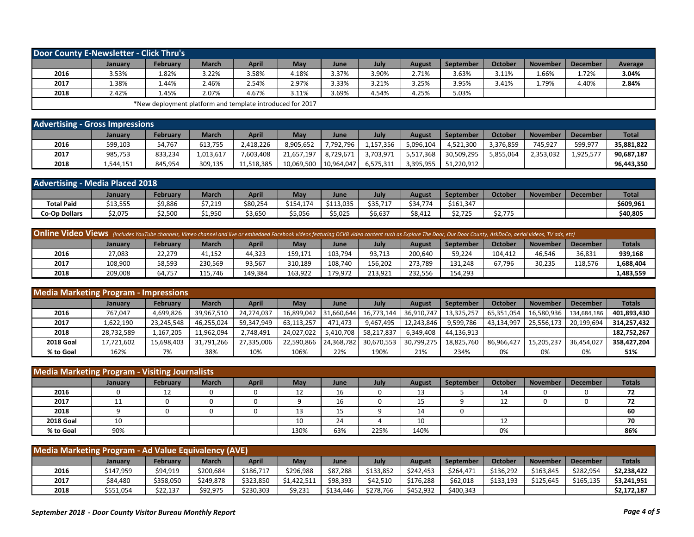| Door County E-Newsletter - Click Thru's |                |                                                           |              |              |       |             |       |               |           |         |                 |                 |         |
|-----------------------------------------|----------------|-----------------------------------------------------------|--------------|--------------|-------|-------------|-------|---------------|-----------|---------|-----------------|-----------------|---------|
|                                         | <b>January</b> | February                                                  | <b>March</b> | <b>April</b> | May   | <b>June</b> | July  | <b>August</b> | September | October | <b>November</b> | <b>December</b> | Average |
| 2016                                    | 3.53%          | 1.82%                                                     | 3.22%        | 3.58%        | 4.18% | 3.37%       | 3.90% | 2.71%         | 3.63%     | 3.11%   | 66%،            | 1.72%           | 3.04%   |
| 2017                                    | 1.38%          | 1.44%                                                     | 2.46%        | 2.54%        | 2.97% | 3.33%       | 3.21% | 3.25%         | 3.95%     | 3.41%   | 79%.            | 4.40%           | 2.84%   |
| 2018                                    | 2.42%          | 4.45%                                                     | 2.07%        | 4.67%        | 3.11% | 3.69%       | 4.54% | 4.25%         | 5.03%     |         |                 |                 |         |
|                                         |                | *New deployment platform and template introduced for 2017 |              |              |       |             |       |               |           |         |                 |                 |         |

| <b>Advertising - Gross Impressions</b> |           |          |              |            |            |            |           |           |            |           |                 |                 |              |
|----------------------------------------|-----------|----------|--------------|------------|------------|------------|-----------|-----------|------------|-----------|-----------------|-----------------|--------------|
|                                        | January   | February | <b>March</b> | April      | May        | June       | July      | August    | September  | October   | <b>November</b> | <b>December</b> | <b>Total</b> |
| 2016                                   | 599,103   | 54,767   | 613,755      | 2,418,226  | 1.905.652  | 7,792,796  | .,157,356 | 5,096,104 | 4,521,300  | 3,376,859 | 745.927         | 599,977         | 35.881.822   |
| 2017                                   | 985,753   | 833,234  | 1,013,617    | 7,603,408  | 21.657.197 | 8.729.671  | 3,703,971 | 5,517,368 | 30,509,295 | 5,855,064 | 2,353,032       | 1.925.57        | 90,687,187   |
| 2018                                   | 1,544,151 | 845,954  | 309,135      | 11,518,385 | 10,069,500 | 10,964,047 | 6,575,311 | 3,395,955 | 51,220,912 |           |                 |                 | 96,443,350   |

| <b>Advertising - Media Placed 2018</b> |          |          |              |          |           |             |          |          |           |                     |                 |                 |              |
|----------------------------------------|----------|----------|--------------|----------|-----------|-------------|----------|----------|-----------|---------------------|-----------------|-----------------|--------------|
|                                        | January  | Februarv | <b>March</b> | April    | May       | <b>June</b> | July     | August   | September | Octobe <sub>l</sub> | <b>November</b> | <b>December</b> | <b>Total</b> |
| <b>Total Paid</b>                      | \$13,555 | \$9,886  | \$7,219      | \$80,254 | \$154,174 | \$113,035   | \$35,717 | \$34.774 | \$161.347 |                     |                 |                 | \$609,961    |
| <b>Co-Op Dollars</b>                   | \$2,075  | \$2,500  | 1,950        | \$3,650  | \$5,056   | \$5,025     | \$6,637  | \$8,412  | \$2,725   | an 775<br>52,775    |                 |                 | \$40,805     |

| Online Video Views (includes YouTube channels, Vimeo channel and live or embedded Facebook videos featuring DCVB video content such as Explore The Door, Our Door County, AskDoCo, aerial videos, TV ads, etc) |         |          |              |              |         |         |         |         |           |         |                 |          |               |
|----------------------------------------------------------------------------------------------------------------------------------------------------------------------------------------------------------------|---------|----------|--------------|--------------|---------|---------|---------|---------|-----------|---------|-----------------|----------|---------------|
|                                                                                                                                                                                                                | Januarv | February | <b>March</b> | <b>April</b> | May     | June    | July    | August  | September | October | <b>November</b> | December | <b>Totals</b> |
| 2016                                                                                                                                                                                                           | 27,083  | 22.279   | 41.152       | 44,323       | 159,171 | 103,794 | 93,713  | 200.640 | 59,224    | 104.412 | 46,546          | 36,831   | 939,168       |
| 2017                                                                                                                                                                                                           | 108,900 | 58,593   | 230.569      | 93,567       | 310.189 | 108.740 | 156.202 | 273.789 | 131.248   | 67.796  | 30,235          | 118,576  | 1,688,404     |
| 2018                                                                                                                                                                                                           | 209,008 | 64,757   | 115.746      | 149,384      | 163,922 | 179.972 | 213,921 | 232,556 | 154,293   |         |                 |          | 1,483,559     |

| <b>Media Marketing Program - Impressions</b> |                |                 |              |            |            |            |            |               |            |            |                 |                 |               |
|----------------------------------------------|----------------|-----------------|--------------|------------|------------|------------|------------|---------------|------------|------------|-----------------|-----------------|---------------|
|                                              | <b>January</b> | <b>February</b> | <b>March</b> | April      | Mav        | June       | July       | <b>August</b> | September  | October    | <b>November</b> | <b>December</b> | <b>Totals</b> |
| 2016                                         | 767,047        | 4,699,826       | 39,967,510   | 24.274.037 | 16.899.042 | 31.660.644 | 16,773,144 | 36.910.747 l  | 13,325,257 | 65,351,054 | 16,580,936      | 134.684.186     | 401,893,430   |
| 2017                                         | 1,622,190      | 23,245,548      | 46,255,024   | 59,347,949 | 63.113.257 | 471,473    | 9.467.495  | 12,243,846    | 9,599,786  | 43,134,997 | 25.556.173      | 20,199,694      | 314,257,432   |
| 2018                                         | 28,732,589     | 1,167,205       | 11,962,094   | 2.748.491  | 24,027,022 | 5.410.708  | 58,217,837 | 6.349.408     | 44.136.913 |            |                 |                 | 182,752,267   |
| <b>2018 Goal</b>                             | 17,721,602     | 15,698,403      | 31,791,266   | 27,335,006 | 22,590,866 | 24,368,782 | 30,670,553 | 30,799,275    | 18,825,760 | 86,966,427 | 15,205,237      | 36,454,027      | 358,427,204   |
| % to Goal                                    | 162%           | 7%              | 38%          | 10%        | 106%       | 22%        | 190%       | 21%           | 234%       | 0%         | 0%              | 0%              | 51%           |

| <b>Media Marketing Program - Visiting Journalists</b> |                |                 |              |              |      |          |      |        |           |         |                 |                 |               |
|-------------------------------------------------------|----------------|-----------------|--------------|--------------|------|----------|------|--------|-----------|---------|-----------------|-----------------|---------------|
|                                                       | <b>January</b> | <b>February</b> | <b>March</b> | <b>April</b> | May  | June     | July | August | September | October | <b>November</b> | <b>December</b> | <b>Totals</b> |
| 2016                                                  |                | 12              |              |              | 12   | 16       |      | 13     |           | 14      |                 |                 | 72            |
| 2017                                                  | 11<br>ᆠᆂ       |                 |              |              |      | 16       |      | 15     |           | 12      |                 |                 | 72            |
| 2018                                                  |                |                 |              |              | 13   | 15<br>ر⊥ |      | 14     |           |         |                 |                 | 60            |
| <b>2018 Goal</b>                                      | 10             |                 |              |              | 10   | 24       |      | 10     |           | 12      |                 |                 | 70            |
| % to Goal                                             | 90%            |                 |              |              | 130% | 63%      | 225% | 140%   |           | 0%      |                 |                 | 86%           |

| Media Marketing Program - Ad Value Equivalency (AVE) |           |                 |              |           |             |           |           |           |           |                |                 |                 |               |
|------------------------------------------------------|-----------|-----------------|--------------|-----------|-------------|-----------|-----------|-----------|-----------|----------------|-----------------|-----------------|---------------|
|                                                      | January   | <b>February</b> | <b>March</b> | April     | May         | June      | July      | August    | September | <b>October</b> | <b>November</b> | <b>December</b> | <b>Totals</b> |
| 2016                                                 | \$147,959 | \$94.919        | \$200,684    | \$186.717 | \$296.988   | \$87,288  | \$133,852 | \$242,453 | \$264.471 | \$136.292      | \$163.845       | \$282.954       | \$2,238,422   |
| 2017                                                 | \$84,480  | \$358,050       | \$249,878    | \$323,850 | \$1.422.511 | \$98,393  | \$42,510  | \$176,288 | \$62,018  | \$133.193      | \$125,645       | \$165,135       | \$3,241,951   |
| 2018                                                 | \$551,054 | \$22,137        | \$92,975     | \$230,303 | \$9,231     | \$134,446 | \$278,766 | \$452,932 | \$400,343 |                |                 |                 | \$2,172,187   |